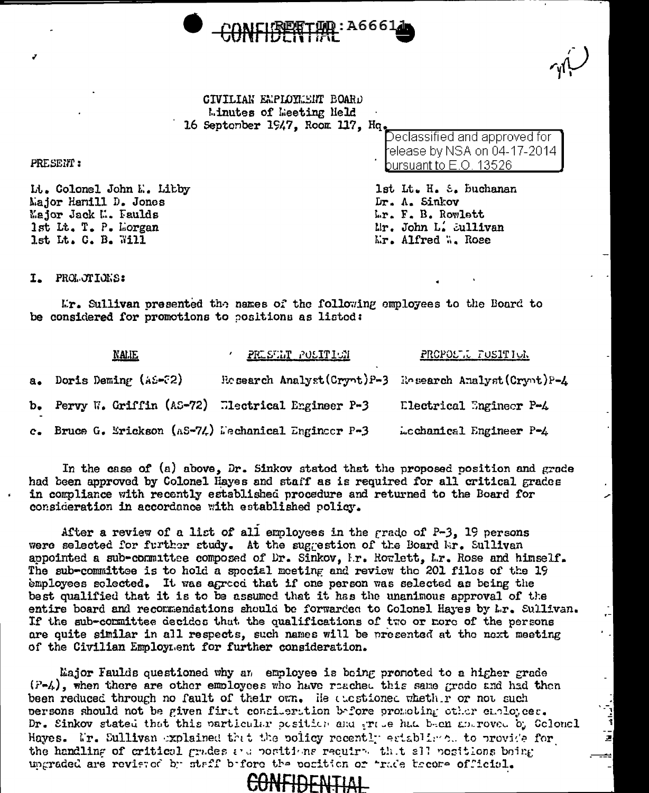

CIVILIAN EMPLOYMENT BOARD Linutes of Leeting Neld 16 September 1947, Room 117, Hq

Declassified and approved for elease by NSA on 04-17-2014 bursuant to E.O. 13526.

lst Lt. H. S. Buchanan Dr. A. Sinkov Lr. F. B. Rowlett Mr. John L. Sullivan Mr. Alfred W. Rose

PRESENT:

Lt. Colonel John E. Libby Major Hamill D. Jones Major Jack M. Faulds 1st Lt. T. P. Lorgan 1st Lt. C. B. Will

I. PROLOTIONS:

Mr. Sullivan presented the names of the following employees to the Board to be considered for promotions to positions as listed:

|               | <b>NALIE</b>                                             | <b>PRESENT POSITION</b>                                      | PROPOLL FUSITION        |
|---------------|----------------------------------------------------------|--------------------------------------------------------------|-------------------------|
| $a_{\bullet}$ | Doris Deming (AS-32)                                     | Be search Analyst $(Crynt)P-3$ Research Analyst $(Crynt)P-4$ |                         |
|               | b. Pervy W. Griffin (AS-72) Electrical Engineer P-3      |                                                              | Electrical Engineer P-4 |
|               | c. Bruce G. Erickson ( $AS=7L$ ) Dechanical Engineer P-3 |                                                              | Lochanical Engineer P-4 |

In the case of (a) above, Dr. Sinkov stated that the proposed position and grade had been approved by Colonel Hayes and staff as is required for all critical grades in compliance with recently established procedure and returned to the Board for consideration in accordance with established policy.

After a review of a list of all employees in the grade of  $P-3$ , 19 persons were selected for further study. At the suggestion of the Board Wr. Sullivan appointed a sub-committee composed of Dr. Sinkov, I.r. Rowlett, L.r. Rose and himself. The sub-committee is to hold a special meeting and review the 201 files of the 19 employees solected. It was agreed that if one person was selected as being the best qualified that it is to be assumed that it has the unanimous approval of the entire board and recommendations should be forwarded to Colonel Hayes by Lr. Sullivan. If the sub-committee decides that the qualifications of two or nore of the persons are quite similar in all respects, such names will be presented at the next meeting of the Civilian Employment for further consideration.

Major Faulds questioned why an employee is being pronoted to a higher grade (P-4), when there are other employees who have reached this same grade and had then been reduced through no fault of their own. He alestioned whethir or not such persons should not be given first consideration before promoting other employees. Dr. Sinkov stated that this particular position and true had been approved by Golonel Haves. Mr. Sullivan explained that the policy recently establish. to provide for the handling of critical grades and positions required that all positions being ungraded are revieted by staff before the position or "rade become official.